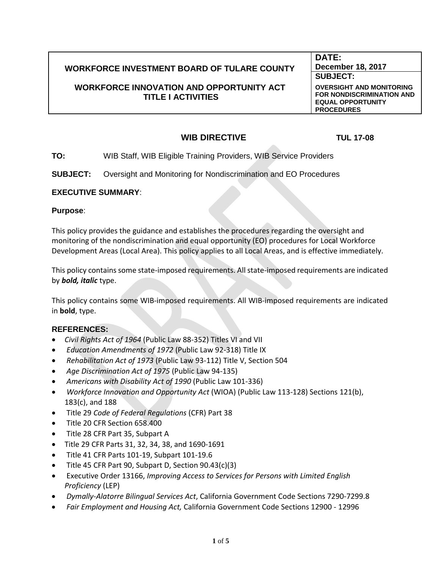# **WORKFORCE INVESTMENT BOARD OF TULARE COUNTY**

## **WORKFORCE INNOVATION AND OPPORTUNITY ACT TITLE I ACTIVITIES**

**DATE: December 18, 2017 SUBJECT:**

**OVERSIGHT AND MONITORING FOR NONDISCRIMINATION AND EQUAL OPPORTUNITY PROCEDURES**

# **WIB DIRECTIVE TUL 17-08**

**TO:** WIB Staff, WIB Eligible Training Providers, WIB Service Providers

**SUBJECT:** Oversight and Monitoring for Nondiscrimination and EO Procedures

#### **EXECUTIVE SUMMARY**:

**Purpose**:

This policy provides the guidance and establishes the procedures regarding the oversight and monitoring of the nondiscrimination and equal opportunity (EO) procedures for Local Workforce Development Areas (Local Area). This policy applies to all Local Areas, and is effective immediately.

This policy contains some state-imposed requirements. All state-imposed requirements are indicated by *bold, italic* type.

This policy contains some WIB-imposed requirements. All WIB-imposed requirements are indicated in **bold**, type.

### **REFERENCES:**

- *Civil Rights Act of 1964* (Public Law 88-352) Titles VI and VII
- *Education Amendments of 1972* (Public Law 92-318) Title IX
- *Rehabilitation Act of 1973* (Public Law 93-112) Title V, Section 504
- *Age Discrimination Act of 1975* (Public Law 94-135)
- *Americans with Disability Act of 1990* (Public Law 101-336)
- *Workforce Innovation and Opportunity Act* (WIOA) (Public Law 113-128) Sections 121(b), 183(c), and 188
- Title 29 *Code of Federal Regulations* (CFR) Part 38
- Title 20 CFR Section 658.400
- Title 28 CFR Part 35, Subpart A
- Title 29 CFR Parts 31, 32, 34, 38, and 1690-1691
- Title 41 CFR Parts 101-19, Subpart 101-19.6
- Title 45 CFR Part 90, Subpart D, Section 90.43(c)(3)
- Executive Order 13166, *Improving Access to Services for Persons with Limited English Proficiency* (LEP)
- *Dymally-Alatorre Bilingual Services Act*, California Government Code Sections 7290-7299.8
- *Fair Employment and Housing Act,* California Government Code Sections 12900 12996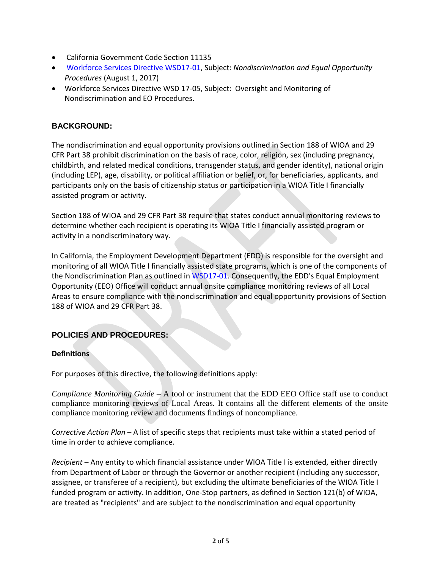- California Government Code Section 11135
- Workforce Services Directive WSD17-01, Subject: *Nondiscrimination and Equal Opportunity Procedures* (August 1, 2017)
- Workforce Services Directive WSD 17-05, Subject: Oversight and Monitoring of Nondiscrimination and EO Procedures.

## **BACKGROUND:**

The nondiscrimination and equal opportunity provisions outlined in Section 188 of WIOA and 29 CFR Part 38 prohibit discrimination on the basis of race, color, religion, sex (including pregnancy, childbirth, and related medical conditions, transgender status, and gender identity), national origin (including LEP), age, disability, or political affiliation or belief, or, for beneficiaries, applicants, and participants only on the basis of citizenship status or participation in a WIOA Title I financially assisted program or activity.

Section 188 of WIOA and 29 CFR Part 38 require that states conduct annual monitoring reviews to determine whether each recipient is operating its WIOA Title I financially assisted program or activity in a nondiscriminatory way.

In California, the Employment Development Department (EDD) is responsible for the oversight and monitoring of all WIOA Title I financially assisted state programs, which is one of the components of the Nondiscrimination Plan as outlined in WSD17-01. Consequently, the EDD's Equal Employment Opportunity (EEO) Office will conduct annual onsite compliance monitoring reviews of all Local Areas to ensure compliance with the nondiscrimination and equal opportunity provisions of Section 188 of WIOA and 29 CFR Part 38.

# **POLICIES AND PROCEDURES:**

### **Definitions**

For purposes of this directive, the following definitions apply:

*Compliance Monitoring Guide* – A tool or instrument that the EDD EEO Office staff use to conduct compliance monitoring reviews of Local Areas. It contains all the different elements of the onsite compliance monitoring review and documents findings of noncompliance.

*Corrective Action Plan* – A list of specific steps that recipients must take within a stated period of time in order to achieve compliance.

*Recipient –* Any entity to which financial assistance under WIOA Title I is extended, either directly from Department of Labor or through the Governor or another recipient (including any successor, assignee, or transferee of a recipient), but excluding the ultimate beneficiaries of the WIOA Title I funded program or activity. In addition, One-Stop partners, as defined in Section 121(b) of WIOA, are treated as "recipients" and are subject to the nondiscrimination and equal opportunity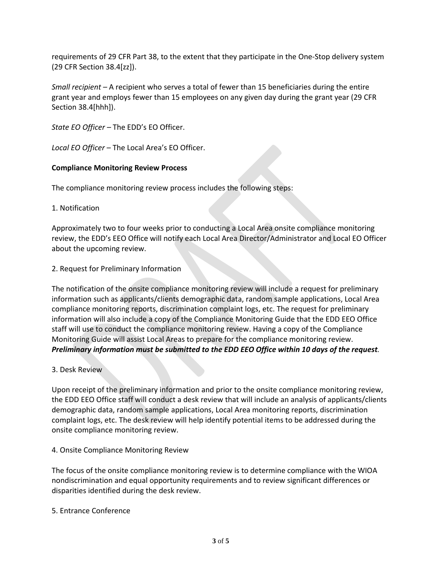requirements of 29 CFR Part 38, to the extent that they participate in the One-Stop delivery system (29 CFR Section 38.4[zz]).

*Small recipient –* A recipient who serves a total of fewer than 15 beneficiaries during the entire grant year and employs fewer than 15 employees on any given day during the grant year (29 CFR Section 38.4[hhh]).

*State EO Officer –* The EDD's EO Officer.

*Local EO Officer* – The Local Area's EO Officer.

### **Compliance Monitoring Review Process**

The compliance monitoring review process includes the following steps:

### 1. Notification

Approximately two to four weeks prior to conducting a Local Area onsite compliance monitoring review, the EDD's EEO Office will notify each Local Area Director/Administrator and Local EO Officer about the upcoming review.

## 2. Request for Preliminary Information

The notification of the onsite compliance monitoring review will include a request for preliminary information such as applicants/clients demographic data, random sample applications, Local Area compliance monitoring reports, discrimination complaint logs, etc. The request for preliminary information will also include a copy of the Compliance Monitoring Guide that the EDD EEO Office staff will use to conduct the compliance monitoring review. Having a copy of the Compliance Monitoring Guide will assist Local Areas to prepare for the compliance monitoring review. *Preliminary information must be submitted to the EDD EEO Office within 10 days of the request.* 

### 3. Desk Review

Upon receipt of the preliminary information and prior to the onsite compliance monitoring review, the EDD EEO Office staff will conduct a desk review that will include an analysis of applicants/clients demographic data, random sample applications, Local Area monitoring reports, discrimination complaint logs, etc. The desk review will help identify potential items to be addressed during the onsite compliance monitoring review.

4. Onsite Compliance Monitoring Review

The focus of the onsite compliance monitoring review is to determine compliance with the WIOA nondiscrimination and equal opportunity requirements and to review significant differences or disparities identified during the desk review.

### 5. Entrance Conference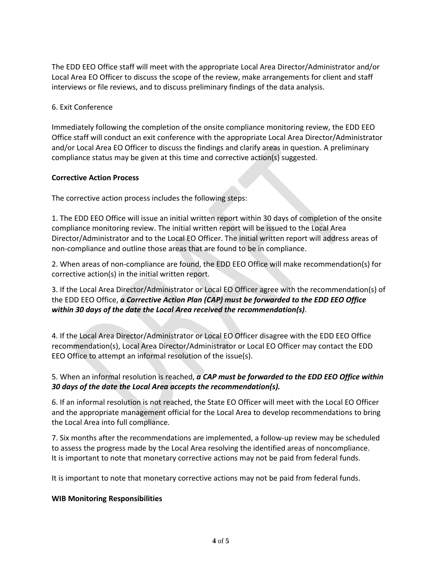The EDD EEO Office staff will meet with the appropriate Local Area Director/Administrator and/or Local Area EO Officer to discuss the scope of the review, make arrangements for client and staff interviews or file reviews, and to discuss preliminary findings of the data analysis.

### 6. Exit Conference

Immediately following the completion of the onsite compliance monitoring review, the EDD EEO Office staff will conduct an exit conference with the appropriate Local Area Director/Administrator and/or Local Area EO Officer to discuss the findings and clarify areas in question. A preliminary compliance status may be given at this time and corrective action(s) suggested.

### **Corrective Action Process**

The corrective action process includes the following steps:

1. The EDD EEO Office will issue an initial written report within 30 days of completion of the onsite compliance monitoring review. The initial written report will be issued to the Local Area Director/Administrator and to the Local EO Officer. The initial written report will address areas of non-compliance and outline those areas that are found to be in compliance.

2. When areas of non-compliance are found, the EDD EEO Office will make recommendation(s) for corrective action(s) in the initial written report.

3. If the Local Area Director/Administrator or Local EO Officer agree with the recommendation(s) of the EDD EEO Office, *a Corrective Action Plan (CAP) must be forwarded to the EDD EEO Office within 30 days of the date the Local Area received the recommendation(s)*.

4. If the Local Area Director/Administrator or Local EO Officer disagree with the EDD EEO Office recommendation(s), Local Area Director/Administrator or Local EO Officer may contact the EDD EEO Office to attempt an informal resolution of the issue(s).

# 5. When an informal resolution is reached, *a CAP must be forwarded to the EDD EEO Office within 30 days of the date the Local Area accepts the recommendation(s).*

6. If an informal resolution is not reached, the State EO Officer will meet with the Local EO Officer and the appropriate management official for the Local Area to develop recommendations to bring the Local Area into full compliance.

7. Six months after the recommendations are implemented, a follow-up review may be scheduled to assess the progress made by the Local Area resolving the identified areas of noncompliance. It is important to note that monetary corrective actions may not be paid from federal funds.

It is important to note that monetary corrective actions may not be paid from federal funds.

### **WIB Monitoring Responsibilities**